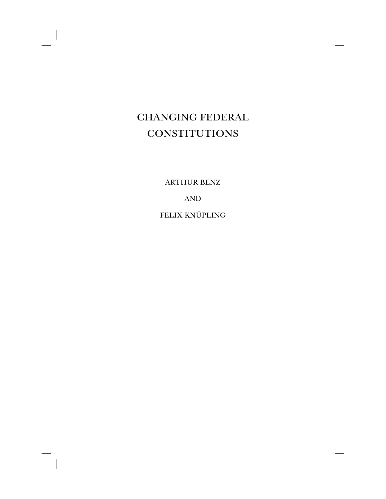# CHANGING FEDERAL **CONSTITUTIONS**

ARTHUR BENZ AND FELIX KNÜPLING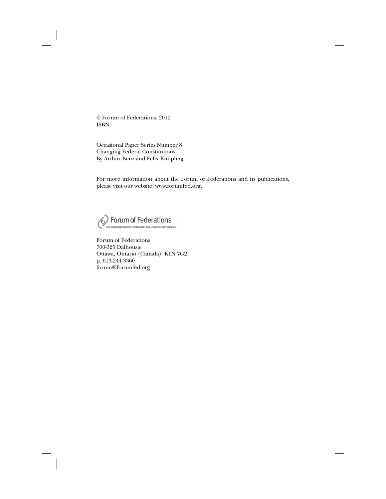© Forum of Federations, 2012 ISBN:

Occasional Paper Series Number 8 Changing Federal Constitutions By Arthur Benz and Felix Knüpling

For more information about the Forum of Federations and its publications, please visit our website: www.forumfed.org.

 $\bigodot$  Forum of Federations

Forum of Federations 700-325 Dalhousie Ottawa, Ontario (Canada) K1N 7G2 p. 613-244-3360 forum@forumfed.org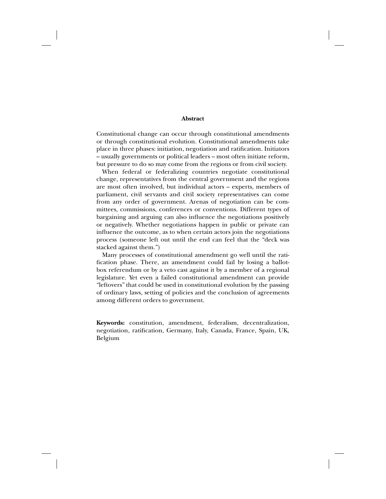# **Abstract**

Constitutional change can occur through constitutional amendments or through constitutional evolution. Constitutional amendments take place in three phases: initiation, negotiation and ratification. Initiators – usually governments or political leaders – most often initiate reform, but pressure to do so may come from the regions or from civil society.

When federal or federalizing countries negotiate constitutional change, representatives from the central government and the regions are most often involved, but individual actors – experts, members of parliament, civil servants and civil society representatives can come from any order of government. Arenas of negotiation can be committees, commissions, conferences or conventions. Different types of bargaining and arguing can also influence the negotiations positively or negatively. Whether negotiations happen in public or private can influence the outcome, as to when certain actors join the negotiations process (someone left out until the end can feel that the "deck was stacked against them.")

Many processes of constitutional amendment go well until the ratification phase. There, an amendment could fail by losing a ballotbox referendum or by a veto cast against it by a member of a regional legislature. Yet even a failed constitutional amendment can provide "leftovers" that could be used in constitutional evolution by the passing of ordinary laws, setting of policies and the conclusion of agreements among different orders to government.

**Keywords:** constitution, amendment, federalism, decentralization, negotiation, ratification, Germany, Italy, Canada, France, Spain, UK, Belgium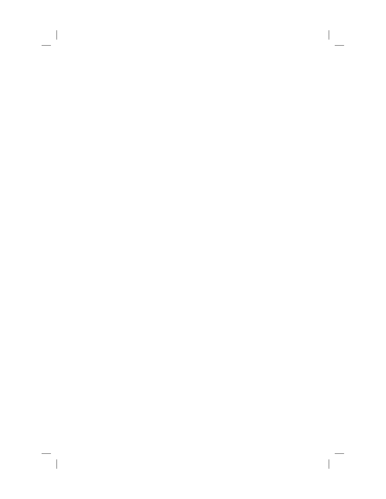$\frac{1}{\sqrt{2}}$  $\frac{1}{2}$  $\frac{1}{\sqrt{2}}\int_{0}^{\sqrt{2}}\frac{1}{\sqrt{2}}\left( \frac{1}{2}\right) ^{2}d\mu d\nu$  $\begin{array}{c} \hline \hline \hline \hline \hline \hline \hline \hline \hline \end{array}$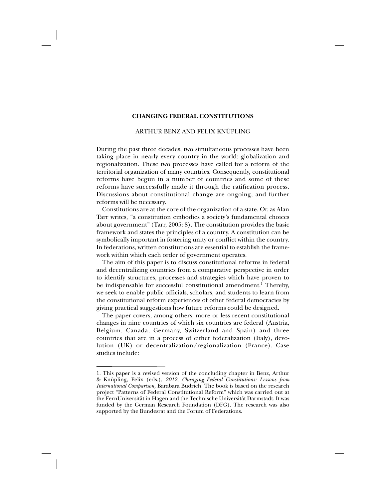# **CHANGING FEDERAL CONSTITUTIONS**

# ARTHUR BENZ AND FELIX KNÜPLING

During the past three decades, two simultaneous processes have been taking place in nearly every country in the world: globalization and regionalization. These two processes have called for a reform of the territorial organization of many countries. Consequently, constitutional reforms have begun in a number of countries and some of these reforms have successfully made it through the ratification process. Discussions about constitutional change are ongoing, and further reforms will be necessary.

Constitutions are at the core of the organization of a state. Or, as Alan Tarr writes, "a constitution embodies a society's fundamental choices about government" (Tarr, 2005: 8). The constitution provides the basic framework and states the principles of a country. A constitution can be symbolically important in fostering unity or conflict within the country. In federations, written constitutions are essential to establish the framework within which each order of government operates.

The aim of this paper is to discuss constitutional reforms in federal and decentralizing countries from a comparative perspective in order to identify structures, processes and strategies which have proven to be indispensable for successful constitutional amendment.<sup>1</sup> Thereby, we seek to enable public officials, scholars, and students to learn from the constitutional reform experiences of other federal democracies by giving practical suggestions how future reforms could be designed.

The paper covers, among others, more or less recent constitutional changes in nine countries of which six countries are federal (Austria, Belgium, Canada, Germany, Switzerland and Spain) and three countries that are in a process of either federalization (Italy), devolution (UK) or decentralization/regionalization (France). Case studies include:

<sup>1.</sup> This paper is a revised version of the concluding chapter in Benz, Arthur & Knüpling, Felix (eds.), *2012, Changing Federal Constitutions: Lessons from International Comparison,* Barabara Budrich. The book is based on the research project "Patterns of Federal Constitutional Reform" which was carried out at the FernUniversität in Hagen and the Technische Universität Darmstadt. It was funded by the German Research Foundation (DFG). The research was also supported by the Bundesrat and the Forum of Federations.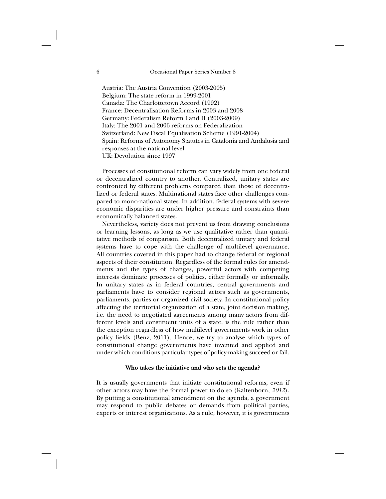Austria: The Austria Convention (2003-2005) Belgium: The state reform in 1999-2001 Canada: The Charlottetown Accord (1992) France: Decentralisation Reforms in 2003 and 2008 Germany: Federalism Reform I and II (2003-2009) Italy: The 2001 and 2006 reforms on Federalization Switzerland: New Fiscal Equalisation Scheme (1991-2004) Spain: Reforms of Autonomy Statutes in Catalonia and Andalusia and responses at the national level UK: Devolution since 1997

Processes of constitutional reform can vary widely from one federal or decentralized country to another. Centralized, unitary states are confronted by different problems compared than those of decentralized or federal states. Multinational states face other challenges compared to mono-national states. In addition, federal systems with severe economic disparities are under higher pressure and constraints than economically balanced states.

Nevertheless, variety does not prevent us from drawing conclusions or learning lessons, as long as we use qualitative rather than quantitative methods of comparison. Both decentralized unitary and federal systems have to cope with the challenge of multilevel governance. All countries covered in this paper had to change federal or regional aspects of their constitution. Regardless of the formal rules for amendments and the types of changes, powerful actors with competing interests dominate processes of politics, either formally or informally. In unitary states as in federal countries, central governments and parliaments have to consider regional actors such as governments, parliaments, parties or organized civil society. In constitutional policy affecting the territorial organization of a state, joint decision making, i.e. the need to negotiated agreements among many actors from different levels and constituent units of a state, is the rule rather than the exception regardless of how multilevel governments work in other policy fields (Benz, 2011). Hence, we try to analyse which types of constitutional change governments have invented and applied and under which conditions particular types of policy-making succeed or fail.

#### **Who takes the initiative and who sets the agenda?**

It is usually governments that initiate constitutional reforms, even if other actors may have the formal power to do so (Kaltenborn, *2012*). By putting a constitutional amendment on the agenda, a government may respond to public debates or demands from political parties, experts or interest organizations. As a rule, however, it is governments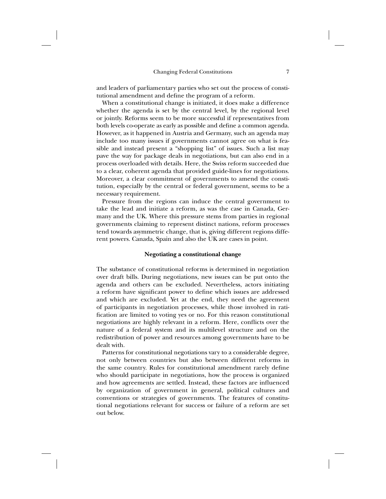and leaders of parliamentary parties who set out the process of constitutional amendment and define the program of a reform.

When a constitutional change is initiated, it does make a difference whether the agenda is set by the central level, by the regional level or jointly. Reforms seem to be more successful if representatives from both levels co-operate as early as possible and define a common agenda. However, as it happened in Austria and Germany, such an agenda may include too many issues if governments cannot agree on what is feasible and instead present a "shopping list" of issues. Such a list may pave the way for package deals in negotiations, but can also end in a process overloaded with details. Here, the Swiss reform succeeded due to a clear, coherent agenda that provided guide-lines for negotiations. Moreover, a clear commitment of governments to amend the constitution, especially by the central or federal government, seems to be a necessary requirement.

Pressure from the regions can induce the central government to take the lead and initiate a reform, as was the case in Canada, Germany and the UK. Where this pressure stems from parties in regional governments claiming to represent distinct nations, reform processes tend towards asymmetric change, that is, giving different regions different powers. Canada, Spain and also the UK are cases in point.

#### **Negotiating a constitutional change**

The substance of constitutional reforms is determined in negotiation over draft bills. During negotiations, new issues can be put onto the agenda and others can be excluded. Nevertheless, actors initiating a reform have significant power to define which issues are addressed and which are excluded. Yet at the end, they need the agreement of participants in negotiation processes, while those involved in ratification are limited to voting yes or no. For this reason constitutional negotiations are highly relevant in a reform. Here, conflicts over the nature of a federal system and its multilevel structure and on the redistribution of power and resources among governments have to be dealt with.

Patterns for constitutional negotiations vary to a considerable degree, not only between countries but also between different reforms in the same country. Rules for constitutional amendment rarely define who should participate in negotiations, how the process is organized and how agreements are settled. Instead, these factors are influenced by organization of government in general, political cultures and conventions or strategies of governments. The features of constitutional negotiations relevant for success or failure of a reform are set out below.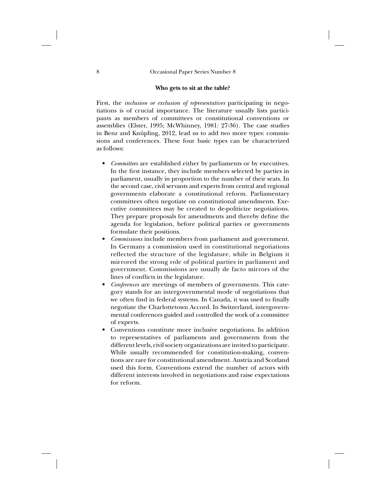#### **Who gets to sit at the table?**

First, the *inclusion or exclusion of representatives* participating in negotiations is of crucial importance. The literature usually lists participants as members of committees or constitutional conventions or assemblies (Elster, 1995; McWhinney, 1981: 27-36). The case studies in Benz and Knüpling, 2012, lead us to add two more types: commissions and conferences. These four basic types can be characterized as follows:

- *Committees* are established either by parliaments or by executives. In the first instance, they include members selected by parties in parliament, usually in proportion to the number of their seats. In the second case, civil servants and experts from central and regional governments elaborate a constitutional reform. Parliamentary committees often negotiate on constitutional amendments. Executive committees may be created to de-politicize negotiations. They prepare proposals for amendments and thereby define the agenda for legislation, before political parties or governments formulate their positions.
- *Commissions* include members from parliament and government. In Germany a commission used in constitutional negotiations reflected the structure of the legislature, while in Belgium it mirrored the strong role of political parties in parliament and government. Commissions are usually de facto mirrors of the lines of conflicts in the legislature.
- *Conferences* are meetings of members of governments. This category stands for an intergovernmental mode of negotiations that we often find in federal systems. In Canada, it was used to finally negotiate the Charlottetown Accord. In Switzerland, intergovernmental conferences guided and controlled the work of a committee of experts.
- Conventions constitute more inclusive negotiations. In addition to representatives of parliaments and governments from the different levels, civil society organizations are invited to participate. While usually recommended for constitution-making, conventions are rare for constitutional amendment. Austria and Scotland used this form. Conventions extend the number of actors with different interests involved in negotiations and raise expectations for reform.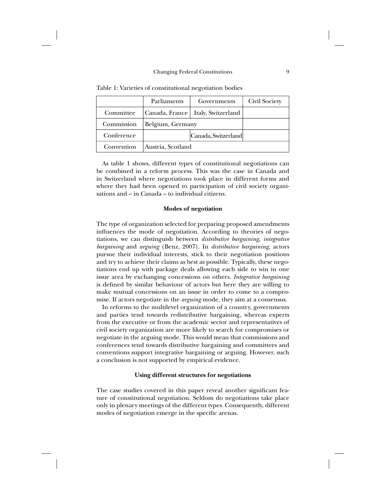# Changing Federal Constitutions 9

|            | Parliaments       | Governments                         | Civil Society |
|------------|-------------------|-------------------------------------|---------------|
| Committee  |                   | Canada, France   Italy, Switzerland |               |
| Commission | Belgium, Germany  |                                     |               |
| Conference |                   | Canada, Switzerland                 |               |
| Convention | Austria, Scotland |                                     |               |

Table 1: Varieties of constitutional negotiation bodies

As table 1 shows, different types of constitutional negotiations can be combined in a reform process. This was the case in Canada and in Switzerland where negotiations took place in different forms and where they had been opened to participation of civil society organisations and – in Canada – to individual citizens.

#### **Modes of negotiation**

The type of organization selected for preparing proposed amendments influences the mode of negotiation. According to theories of negotiations, we can distinguish between *distributive bargaining, integrative bargaining* and *arguing* (Benz, 2007). In *distributive bargaining,* actors pursue their individual interests, stick to their negotiation positions and try to achieve their claims as best as possible. Typically, these negotiations end up with package deals allowing each side to win in one issue area by exchanging concessions on others. *Integrative bargaining* is defined by similar behaviour of actors but here they are willing to make mutual concessions on an issue in order to come to a compromise. If actors negotiate in the *arguing* mode, they aim at a consensus.

In reforms to the multilevel organization of a country, governments and parties tend towards redistributive bargaining, whereas experts from the executive or from the academic sector and representatives of civil society organization are more likely to search for compromises or negotiate in the arguing mode. This would mean that commissions and conferences tend towards distributive bargaining and committees and conventions support integrative bargaining or arguing. However, such a conclusion is not supported by empirical evidence.

# **Using different structures for negotiations**

The case studies covered in this paper reveal another significant feature of constitutional negotiation. Seldom do negotiations take place only in plenary meetings of the different types. Consequently, different modes of negotiation emerge in the specific arenas.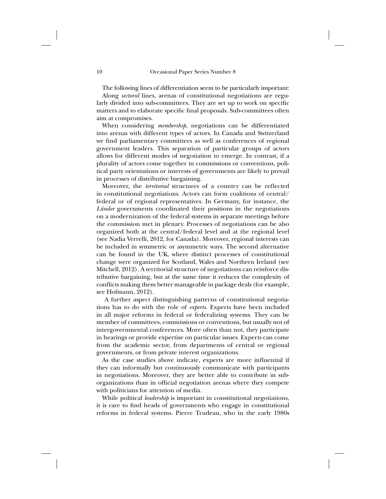The following lines of differentiation seem to be particularly important:

Along *sectoral* lines, arenas of constitutional negotiations are regularly divided into sub-committees. They are set up to work on specific matters and to elaborate specific final proposals. Sub-committees often aim at compromises.

When considering *membership,* negotiations can be differentiated into arenas with different types of actors. In Canada and Switzerland we find parliamentary committees as well as conferences of regional government leaders. This separation of particular groups of actors allows for different modes of negotiation to emerge. In contrast, if a plurality of actors come together in commissions or conventions, political party orientations or interests of governments are likely to prevail in processes of distributive bargaining.

Moreover, the *territorial* structures of a country can be reflected in constitutional negotiations. Actors can form coalitions of central/ federal or of regional representatives. In Germany, for instance, the *Länder* governments coordinated their positions in the negotiations on a modernization of the federal systems in separate meetings before the commission met in plenary. Processes of negotiations can be also organized both at the central/federal level and at the regional level (see Nadia Verrelli, 2012, for Canada). Moreover, regional interests can be included in symmetric or asymmetric ways. The second alternative can be found in the UK, where distinct processes of constitutional change were organized for Scotland, Wales and Northern Ireland (see Mitchell, 2012). A territorial structure of negotiations can reinforce distributive bargaining, but at the same time it reduces the complexity of conflicts making them better manageable in package deals (for example, see Hofmann, 2012).

A further aspect distinguishing patterns of constitutional negotiations has to do with the role of *experts*. Experts have been included in all major reforms in federal or federalizing systems. They can be member of committees, commissions or conventions, but usually not of intergovernmental conferences. More often than not, they participate in hearings or provide expertise on particular issues. Experts can come from the academic sector, from departments of central or regional governments, or from private interest organizations.

As the case studies above indicate, experts are more influential if they can informally but continuously communicate with participants in negotiations. Moreover, they are better able to contribute in suborganizations than in official negotiation arenas where they compete with politicians for attention of media.

While political *leadership* is important in constitutional negotiations, it is rare to find heads of governments who engage in constitutional reforms in federal systems. Pierre Trudeau, who in the early 1980s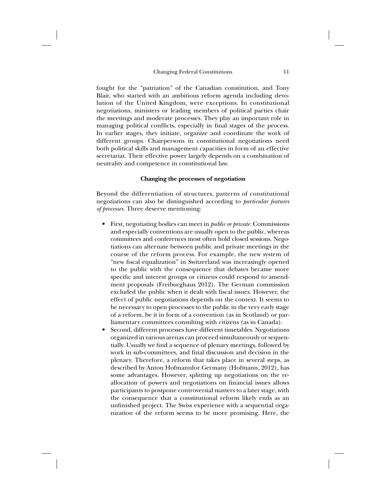fought for the "patriation" of the Canadian constitution, and Tony Blair, who started with an ambitious reform agenda including devolution of the United Kingdom, were exceptions. In constitutional negotiations, ministers or leading members of political parties chair the meetings and moderate processes. They play an important role in managing political conflicts, especially in final stages of the process. In earlier stages, they initiate, organize and coordinate the work of different groups. Chairpersons in constitutional negotiations need both political skills and management capacities in form of an effective secretariat. Their effective power largely depends on a combination of neutrality and competence in constitutional law.

#### **Changing the processes of negotiation**

Beyond the differentiation of structures, patterns of constitutional negotiations can also be distinguished according to *particular features of processes.* Three deserve mentioning:

- First, negotiating bodies can meet in *public or private.* Commissions and especially conventions are usually open to the public, whereas committees and conferences most often hold closed sessions. Negotiations can alternate between public and private meetings in the course of the reform process. For example, the new system of "new fiscal equalization" in Switzerland was increasingly opened to the public with the consequence that debates became more specific and interest groups or citizens could respond to amendment proposals (Freiburghaus 2012). The German commission excluded the public when it dealt with fiscal issues. However, the effect of public negotiations depends on the context. It seems to be necessary to open processes to the public in the very early stage of a reform, be it in form of a convention (as in Scotland) or parliamentary committees consulting with citizens (as in Canada).
- Second, different processes have different timetables. Negotiations organized in various arenas can proceed simultaneously or sequentially. Usually we find a sequence of plenary meetings, followed by work in sub-committees, and final discussion and decision in the plenary. Therefore, a reform that takes place in several steps, as described by Anton Hofmannfor Germany (Hofmann, 2012), has some advantages. However, splitting up negotiations on the reallocation of powers and negotiations on financial issues allows participants to postpone controversial matters to a later stage, with the consequence that a constitutional reform likely ends as an unfinished project. The Swiss experience with a sequential organization of the reform seems to be more promising. Here, the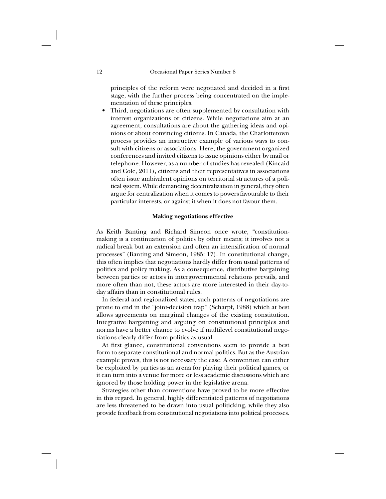principles of the reform were negotiated and decided in a first stage, with the further process being concentrated on the implementation of these principles.

• Third, negotiations are often supplemented by consultation with interest organizations or citizens. While negotiations aim at an agreement, consultations are about the gathering ideas and opinions or about convincing citizens. In Canada, the Charlottetown process provides an instructive example of various ways to consult with citizens or associations. Here, the government organized conferences and invited citizens to issue opinions either by mail or telephone. However, as a number of studies has revealed (Kincaid and Cole, 2011), citizens and their representatives in associations often issue ambivalent opinions on territorial structures of a political system. While demanding decentralization in general, they often argue for centralization when it comes to powers favourable to their particular interests, or against it when it does not favour them.

### **Making negotiations effective**

As Keith Banting and Richard Simeon once wrote, "constitutionmaking is a continuation of politics by other means; it involves not a radical break but an extension and often an intensification of normal processes" (Banting and Simeon, 1985: 17). In constitutional change, this often implies that negotiations hardly differ from usual patterns of politics and policy making. As a consequence, distributive bargaining between parties or actors in intergovernmental relations prevails, and more often than not, these actors are more interested in their day-today affairs than in constitutional rules.

In federal and regionalized states, such patterns of negotiations are prone to end in the "joint-decision trap" (Scharpf, 1988) which at best allows agreements on marginal changes of the existing constitution. Integrative bargaining and arguing on constitutional principles and norms have a better chance to evolve if multilevel constitutional negotiations clearly differ from politics as usual.

At first glance, constitutional conventions seem to provide a best form to separate constitutional and normal politics. But as the Austrian example proves, this is not necessary the case. A convention can either be exploited by parties as an arena for playing their political games, or it can turn into a venue for more or less academic discussions which are ignored by those holding power in the legislative arena.

Strategies other than conventions have proved to be more effective in this regard. In general, highly differentiated patterns of negotiations are less threatened to be drawn into usual politicking, while they also provide feedback from constitutional negotiations into political processes.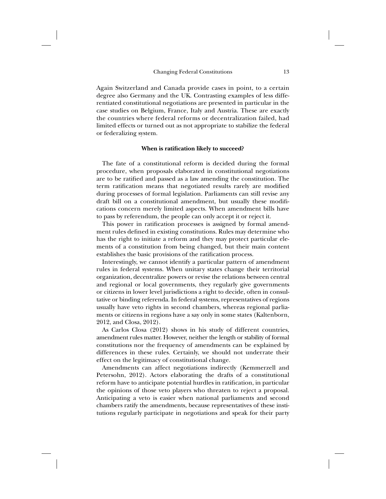Again Switzerland and Canada provide cases in point, to a certain degree also Germany and the UK. Contrasting examples of less differentiated constitutional negotiations are presented in particular in the case studies on Belgium, France, Italy and Austria. These are exactly the countries where federal reforms or decentralization failed, had limited effects or turned out as not appropriate to stabilize the federal or federalizing system.

# **When is ratification likely to succeed?**

The fate of a constitutional reform is decided during the formal procedure, when proposals elaborated in constitutional negotiations are to be ratified and passed as a law amending the constitution. The term ratification means that negotiated results rarely are modified during processes of formal legislation. Parliaments can still revise any draft bill on a constitutional amendment, but usually these modifications concern merely limited aspects. When amendment bills have to pass by referendum, the people can only accept it or reject it.

This power in ratification processes is assigned by formal amendment rules defined in existing constitutions. Rules may determine who has the right to initiate a reform and they may protect particular elements of a constitution from being changed, but their main content establishes the basic provisions of the ratification process.

Interestingly, we cannot identify a particular pattern of amendment rules in federal systems. When unitary states change their territorial organization, decentralize powers or revise the relations between central and regional or local governments, they regularly give governments or citizens in lower level jurisdictions a right to decide, often in consultative or binding referenda. In federal systems, representatives of regions usually have veto rights in second chambers, whereas regional parliaments or citizens in regions have a say only in some states (Kaltenborn, 2012, and Closa, 2012).

As Carlos Closa (2012) shows in his study of different countries, amendment rules matter. However, neither the length or stability of formal constitutions nor the frequency of amendments can be explained by differences in these rules. Certainly, we should not underrate their effect on the legitimacy of constitutional change.

Amendments can affect negotiations indirectly (Kemmerzell and Petersohn, 2012). Actors elaborating the drafts of a constitutional reform have to anticipate potential hurdles in ratification, in particular the opinions of those veto players who threaten to reject a proposal. Anticipating a veto is easier when national parliaments and second chambers ratify the amendments, because representatives of these institutions regularly participate in negotiations and speak for their party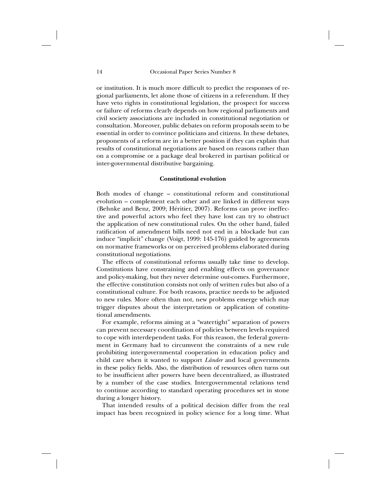or institution. It is much more difficult to predict the responses of regional parliaments, let alone those of citizens in a referendum. If they have veto rights in constitutional legislation, the prospect for success or failure of reforms clearly depends on how regional parliaments and civil society associations are included in constitutional negotiation or consultation. Moreover, public debates on reform proposals seem to be essential in order to convince politicians and citizens. In these debates, proponents of a reform are in a better position if they can explain that results of constitutional negotiations are based on reasons rather than on a compromise or a package deal brokered in partisan political or inter-governmental distributive bargaining.

#### **Constitutional evolution**

Both modes of change – constitutional reform and constitutional evolution – complement each other and are linked in different ways (Behnke and Benz, 2009; Héritier, 2007). Reforms can prove ineffective and powerful actors who feel they have lost can try to obstruct the application of new constitutional rules. On the other hand, failed ratification of amendment bills need not end in a blockade but can induce "implicit" change (Voigt, 1999: 145-176) guided by agreements on normative frameworks or on perceived problems elaborated during constitutional negotiations.

The effects of constitutional reforms usually take time to develop. Constitutions have constraining and enabling effects on governance and policy-making, but they never determine out-comes. Furthermore, the effective constitution consists not only of written rules but also of a constitutional culture. For both reasons, practice needs to be adjusted to new rules. More often than not, new problems emerge which may trigger disputes about the interpretation or application of constitutional amendments.

For example, reforms aiming at a "watertight" separation of powers can prevent necessary coordination of policies between levels required to cope with interdependent tasks. For this reason, the federal government in Germany had to circumvent the constraints of a new rule prohibiting intergovernmental cooperation in education policy and child care when it wanted to support *Länder* and local governments in these policy fields. Also, the distribution of resources often turns out to be insufficient after powers have been decentralized, as illustrated by a number of the case studies. Intergovernmental relations tend to continue according to standard operating procedures set in stone during a longer history.

That intended results of a political decision differ from the real impact has been recognized in policy science for a long time. What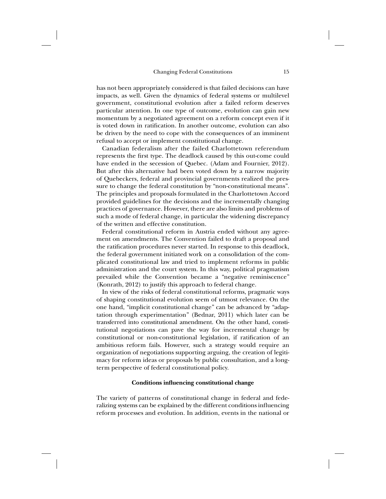has not been appropriately considered is that failed decisions can have impacts, as well. Given the dynamics of federal systems or multilevel government, constitutional evolution after a failed reform deserves particular attention. In one type of outcome, evolution can gain new momentum by a negotiated agreement on a reform concept even if it is voted down in ratification. In another outcome, evolution can also be driven by the need to cope with the consequences of an imminent refusal to accept or implement constitutional change.

Canadian federalism after the failed Charlottetown referendum represents the first type. The deadlock caused by this out-come could have ended in the secession of Quebec. (Adam and Fournier, 2012). But after this alternative had been voted down by a narrow majority of Quebeckers, federal and provincial governments realized the pressure to change the federal constitution by "non-constitutional means". The principles and proposals formulated in the Charlottetown Accord provided guidelines for the decisions and the incrementally changing practices of governance. However, there are also limits and problems of such a mode of federal change, in particular the widening discrepancy of the written and effective constitution.

Federal constitutional reform in Austria ended without any agreement on amendments. The Convention failed to draft a proposal and the ratification procedures never started. In response to this deadlock, the federal government initiated work on a consolidation of the complicated constitutional law and tried to implement reforms in public administration and the court system. In this way, political pragmatism prevailed while the Convention became a "negative reminiscence" (Konrath, 2012) to justify this approach to federal change.

In view of the risks of federal constitutional reforms, pragmatic ways of shaping constitutional evolution seem of utmost relevance. On the one hand, "implicit constitutional change" can be advanced by "adaptation through experimentation" (Bednar, 2011) which later can be transferred into constitutional amendment. On the other hand, constitutional negotiations can pave the way for incremental change by constitutional or non-constitutional legislation, if ratification of an ambitious reform fails. However, such a strategy would require an organization of negotiations supporting arguing, the creation of legitimacy for reform ideas or proposals by public consultation, and a longterm perspective of federal constitutional policy.

# **Conditions influencing constitutional change**

The variety of patterns of constitutional change in federal and federalizing systems can be explained by the different conditions influencing reform processes and evolution. In addition, events in the national or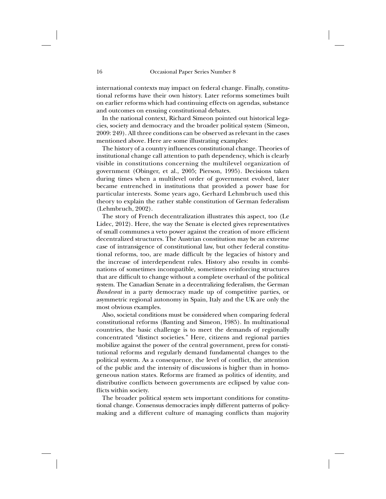international contexts may impact on federal change. Finally, constitutional reforms have their own history. Later reforms sometimes built on earlier reforms which had continuing effects on agendas, substance and outcomes on ensuing constitutional debates.

In the national context, Richard Simeon pointed out historical legacies, society and democracy and the broader political system (Simeon, 2009: 249). All three conditions can be observed as relevant in the cases mentioned above. Here are some illustrating examples:

The history of a country influences constitutional change. Theories of institutional change call attention to path dependency, which is clearly visible in constitutions concerning the multilevel organization of government (Obinger, et al., 2005; Pierson, 1995). Decisions taken during times when a multilevel order of government evolved, later became entrenched in institutions that provided a power base for particular interests. Some years ago, Gerhard Lehmbruch used this theory to explain the rather stable constitution of German federalism (Lehmbruch, 2002).

The story of French decentralization illustrates this aspect, too (Le Lidec, 2012). Here, the way the Senate is elected gives representatives of small communes a veto power against the creation of more efficient decentralized structures. The Austrian constitution may be an extreme case of intransigence of constitutional law, but other federal constitutional reforms, too, are made difficult by the legacies of history and the increase of interdependent rules. History also results in combinations of sometimes incompatible, sometimes reinforcing structures that are difficult to change without a complete overhaul of the political system. The Canadian Senate in a decentralizing federalism, the German *Bundesrat* in a party democracy made up of competitive parties, or asymmetric regional autonomy in Spain, Italy and the UK are only the most obvious examples.

Also, societal conditions must be considered when comparing federal constitutional reforms (Banting and Simeon, 1985). In multinational countries, the basic challenge is to meet the demands of regionally concentrated "distinct societies." Here, citizens and regional parties mobilize against the power of the central government, press for constitutional reforms and regularly demand fundamental changes to the political system. As a consequence, the level of conflict, the attention of the public and the intensity of discussions is higher than in homogeneous nation states. Reforms are framed as politics of identity, and distributive conflicts between governments are eclipsed by value conflicts within society.

The broader political system sets important conditions for constitutional change. Consensus democracies imply different patterns of policymaking and a different culture of managing conflicts than majority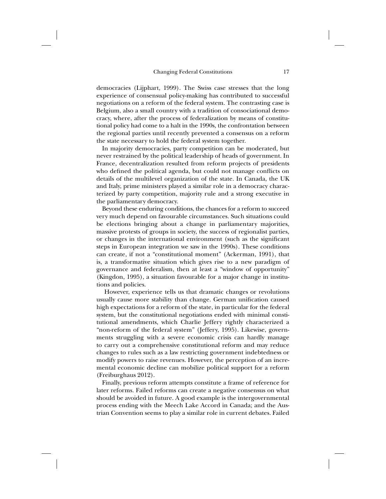democracies (Lijphart, 1999). The Swiss case stresses that the long experience of consensual policy-making has contributed to successful negotiations on a reform of the federal system. The contrasting case is Belgium, also a small country with a tradition of consociational democracy, where, after the process of federalization by means of constitutional policy had come to a halt in the 1990s, the confrontation between the regional parties until recently prevented a consensus on a reform the state necessary to hold the federal system together.

In majority democracies, party competition can be moderated, but never restrained by the political leadership of heads of government. In France, decentralization resulted from reform projects of presidents who defined the political agenda, but could not manage conflicts on details of the multilevel organization of the state. In Canada, the UK and Italy, prime ministers played a similar role in a democracy characterized by party competition, majority rule and a strong executive in the parliamentary democracy.

Beyond these enduring conditions, the chances for a reform to succeed very much depend on favourable circumstances. Such situations could be elections bringing about a change in parliamentary majorities, massive protests of groups in society, the success of regionalist parties, or changes in the international environment (such as the significant steps in European integration we saw in the 1990s). These conditions can create, if not a "constitutional moment" (Ackerman, 1991), that is, a transformative situation which gives rise to a new paradigm of governance and federalism, then at least a "window of opportunity" (Kingdon, 1995), a situation favourable for a major change in institutions and policies.

However, experience tells us that dramatic changes or revolutions usually cause more stability than change. German unification caused high expectations for a reform of the state, in particular for the federal system, but the constitutional negotiations ended with minimal constitutional amendments, which Charlie Jeffery rightly characterized a "non-reform of the federal system" (Jeffery, 1995). Likewise, governments struggling with a severe economic crisis can hardly manage to carry out a comprehensive constitutional reform and may reduce changes to rules such as a law restricting government indebtedness or modify powers to raise revenues. However, the perception of an incremental economic decline can mobilize political support for a reform (Freiburghaus 2012).

Finally, previous reform attempts constitute a frame of reference for later reforms. Failed reforms can create a negative consensus on what should be avoided in future. A good example is the intergovernmental process ending with the Meech Lake Accord in Canada; and the Austrian Convention seems to play a similar role in current debates. Failed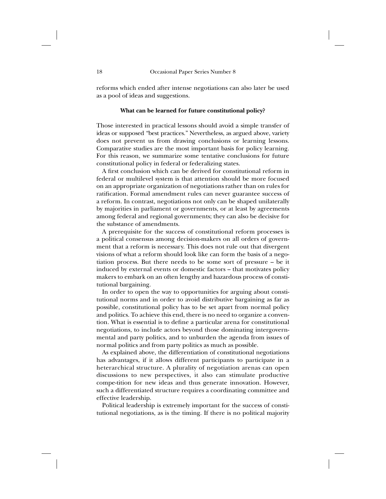reforms which ended after intense negotiations can also later be used as a pool of ideas and suggestions.

# **What can be learned for future constitutional policy?**

Those interested in practical lessons should avoid a simple transfer of ideas or supposed "best practices." Nevertheless, as argued above, variety does not prevent us from drawing conclusions or learning lessons. Comparative studies are the most important basis for policy learning. For this reason, we summarize some tentative conclusions for future constitutional policy in federal or federalizing states.

A first conclusion which can be derived for constitutional reform in federal or multilevel system is that attention should be more focused on an appropriate organization of negotiations rather than on rules for ratification. Formal amendment rules can never guarantee success of a reform. In contrast, negotiations not only can be shaped unilaterally by majorities in parliament or governments, or at least by agreements among federal and regional governments; they can also be decisive for the substance of amendments.

A prerequisite for the success of constitutional reform processes is a political consensus among decision-makers on all orders of government that a reform is necessary. This does not rule out that divergent visions of what a reform should look like can form the basis of a negotiation process. But there needs to be some sort of pressure – be it induced by external events or domestic factors – that motivates policy makers to embark on an often lengthy and hazardous process of constitutional bargaining.

In order to open the way to opportunities for arguing about constitutional norms and in order to avoid distributive bargaining as far as possible, constitutional policy has to be set apart from normal policy and politics. To achieve this end, there is no need to organize a convention. What is essential is to define a particular arena for constitutional negotiations, to include actors beyond those dominating intergovernmental and party politics, and to unburden the agenda from issues of normal politics and from party politics as much as possible.

As explained above, the differentiation of constitutional negotiations has advantages, if it allows different participants to participate in a heterarchical structure. A plurality of negotiation arenas can open discussions to new perspectives, it also can stimulate productive compe-tition for new ideas and thus generate innovation. However, such a differentiated structure requires a coordinating committee and effective leadership.

Political leadership is extremely important for the success of constitutional negotiations, as is the timing. If there is no political majority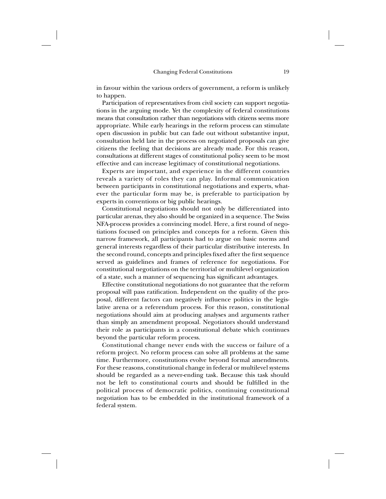in favour within the various orders of government, a reform is unlikely to happen.

Participation of representatives from civil society can support negotiations in the arguing mode. Yet the complexity of federal constitutions means that consultation rather than negotiations with citizens seems more appropriate. While early hearings in the reform process can stimulate open discussion in public but can fade out without substantive input, consultation held late in the process on negotiated proposals can give citizens the feeling that decisions are already made. For this reason, consultations at different stages of constitutional policy seem to be most effective and can increase legitimacy of constitutional negotiations.

Experts are important, and experience in the different countries reveals a variety of roles they can play. Informal communication between participants in constitutional negotiations and experts, whatever the particular form may be, is preferable to participation by experts in conventions or big public hearings.

Constitutional negotiations should not only be differentiated into particular arenas, they also should be organized in a sequence. The Swiss NFA-process provides a convincing model. Here, a first round of negotiations focused on principles and concepts for a reform. Given this narrow framework, all participants had to argue on basic norms and general interests regardless of their particular distributive interests. In the second round, concepts and principles fixed after the first sequence served as guidelines and frames of reference for negotiations. For constitutional negotiations on the territorial or multilevel organization of a state, such a manner of sequencing has significant advantages.

Effective constitutional negotiations do not guarantee that the reform proposal will pass ratification. Independent on the quality of the proposal, different factors can negatively influence politics in the legislative arena or a referendum process. For this reason, constitutional negotiations should aim at producing analyses and arguments rather than simply an amendment proposal. Negotiators should understand their role as participants in a constitutional debate which continues beyond the particular reform process.

Constitutional change never ends with the success or failure of a reform project. No reform process can solve all problems at the same time. Furthermore, constitutions evolve beyond formal amendments. For these reasons, constitutional change in federal or multilevel systems should be regarded as a never-ending task. Because this task should not be left to constitutional courts and should be fulfilled in the political process of democratic politics, continuing constitutional negotiation has to be embedded in the institutional framework of a federal system.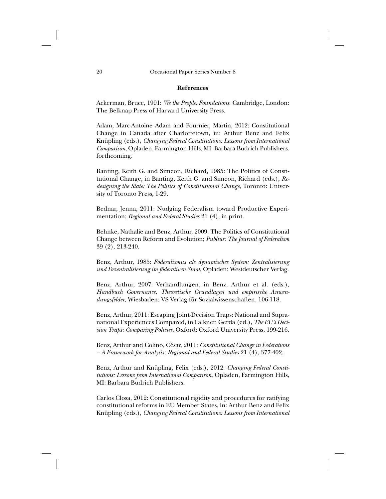#### **References**

Ackerman, Bruce, 1991: *We the People: Foundations*. Cambridge, London: The Belknap Press of Harvard University Press.

Adam, Marc-Antoine Adam and Fournier, Martin, 2012: Constitutional Change in Canada after Charlottetown, in: Arthur Benz and Felix Knüpling (eds.), *Changing Federal Constitutions: Lessons from International Comparison*, Opladen, Farmington Hills, MI: Barbara Budrich Publishers. forthcoming.

Banting, Keith G. and Simeon, Richard, 1985: The Politics of Constitutional Change, in Banting, Keith G. and Simeon, Richard (eds.), *Redesigning the State: The Politics of Constitutional Change*, Toronto: University of Toronto Press, 1-29.

Bednar, Jenna, 2011: Nudging Federalism toward Productive Experimentation; *Regional and Federal Studies* 21 (4), in print.

Behnke, Nathalie and Benz, Arthur, 2009: The Politics of Constitutional Change between Reform and Evolution; *Publius: The Journal of Federalism* 39 (2), 213-240.

Benz, Arthur, 1985: *Föderalismus als dynamisches System: Zentralisierung und Dezentralisierung im föderativen Staat*, Opladen: Westdeutscher Verlag.

Benz, Arthur, 2007: Verhandlungen, in Benz, Arthur et al. (eds.), *Handbuch Governance. Theoretische Grundlagen und empirische Anwendungsfelder*, Wiesbaden: VS Verlag für Sozialwissenschaften, 106-118.

Benz, Arthur, 2011: Escaping Joint-Decision Traps: National and Supranational Experiences Compared, in Falkner, Gerda (ed.), *The EU's Decision Traps: Comparing Policies*, Oxford: Oxford University Press, 199-216.

Benz, Arthur and Colino, César, 2011: *Constitutional Change in Federations – A Framework for Analysis; Regional and Federal Studies* 21 (4), 377-402.

Benz, Arthur and Knüpling, Felix (eds.), 2012: *Changing Federal Constitutions: Lessons from International Comparison*, Opladen, Farmington Hills, MI: Barbara Budrich Publishers.

Carlos Closa, 2012: Constitutional rigidity and procedures for ratifying constitutional reforms in EU Member States, in: Arthur Benz and Felix Knüpling (eds.), *Changing Federal Constitutions: Lessons from International*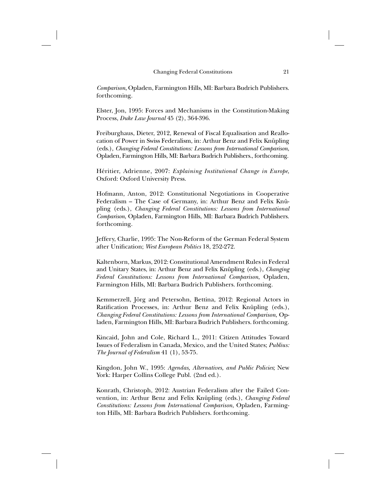# Changing Federal Constitutions 21

*Comparison*, Opladen, Farmington Hills, MI: Barbara Budrich Publishers. forthcoming.

Elster, Jon, 1995: Forces and Mechanisms in the Constitution-Making Process, *Duke Law Journal* 45 (2), 364-396.

Freiburghaus, Dieter, 2012, Renewal of Fiscal Equalisation and Reallocation of Power in Swiss Federalism, in: Arthur Benz and Felix Knüpling (eds.), *Changing Federal Constitutions: Lessons from International Comparison*, Opladen, Farmington Hills, MI: Barbara Budrich Publishers., forthcoming.

Héritier, Adrienne, 2007: *Explaining Institutional Change in Europe*, Oxford: Oxford University Press.

Hofmann, Anton, 2012: Constitutional Negotiations in Cooperative Federalism – The Case of Germany, in: Arthur Benz and Felix Knüpling (eds.), *Changing Federal Constitutions: Lessons from International Comparison*, Opladen, Farmington Hills, MI: Barbara Budrich Publishers. forthcoming.

Jeffery, Charlie, 1995: The Non-Reform of the German Federal System after Unification; *West European Politics* 18, 252-272.

Kaltenborn, Markus, 2012: Constitutional Amendment Rules in Federal and Unitary States, in: Arthur Benz and Felix Knüpling (eds.), *Changing Federal Constitutions: Lessons from International Comparison*, Opladen, Farmington Hills, MI: Barbara Budrich Publishers. forthcoming.

Kemmerzell, Jörg and Petersohn, Bettina, 2012: Regional Actors in Ratification Processes, in: Arthur Benz and Felix Knüpling (eds.), *Changing Federal Constitutions: Lessons from International Comparison*, Opladen, Farmington Hills, MI: Barbara Budrich Publishers. forthcoming.

Kincaid, John and Cole, Richard L., 2011: Citizen Attitudes Toward Issues of Federalism in Canada, Mexico, and the United States; *Publius: The Journal of Federalism* 41 (1), 53-75.

Kingdon, John W., 1995: *Agendas, Alternatives, and Public Policies*; New York: Harper Collins College Publ. (2nd ed.).

Konrath, Christoph, 2012: Austrian Federalism after the Failed Convention, in: Arthur Benz and Felix Knüpling (eds.), *Changing Federal Constitutions: Lessons from International Comparison*, Opladen, Farmington Hills, MI: Barbara Budrich Publishers. forthcoming.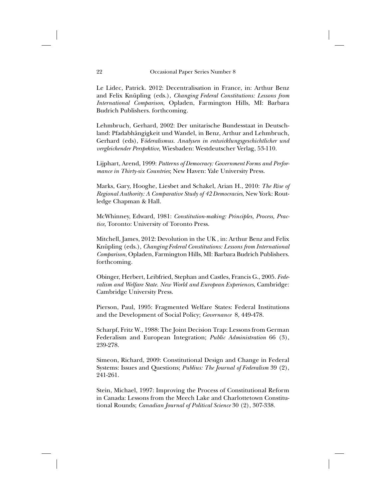Le Lidec, Patrick. 2012: Decentralisation in France, in: Arthur Benz and Felix Knüpling (eds.), *Changing Federal Constitutions: Lessons from International Comparison*, Opladen, Farmington Hills, MI: Barbara Budrich Publishers. forthcoming.

Lehmbruch, Gerhard, 2002: Der unitarische Bundesstaat in Deutschland: Pfadabhängigkeit und Wandel, in Benz, Arthur and Lehmbruch, Gerhard (eds), F*öderalismus. Analysen in entwicklungsgeschichtlicher und vergleichender Perspektive*, Wiesbaden: Westdeutscher Verlag, 53-110.

Lijphart, Arend, 1999: *Patterns of Democracy: Government Forms and Performance in Thirty-six Countries*; New Haven: Yale University Press.

Marks, Gary, Hooghe, Liesbet and Schakel, Arian H., 2010: *The Rise of Regional Authority: A Comparative Study of 42 Democracies*, New York: Routledge Chapman & Hall.

McWhinney, Edward, 1981: *Constitution-making: Principles, Process, Practice*, Toronto: University of Toronto Press.

Mitchell, James, 2012: Devolution in the UK , in: Arthur Benz and Felix Knüpling (eds.), *Changing Federal Constitutions: Lessons from International Comparison*, Opladen, Farmington Hills, MI: Barbara Budrich Publishers. forthcoming.

Obinger, Herbert, Leibfried, Stephan and Castles, Francis G., 2005. *Federalism and Welfare State. New World and European Experiences*, Cambridge: Cambridge University Press.

Pierson, Paul, 1995: Fragmented Welfare States: Federal Institutions and the Development of Social Policy; *Governance* 8, 449-478.

Scharpf, Fritz W., 1988: The Joint Decision Trap: Lessons from German Federalism and European Integration; *Public Administration* 66 (3), 239-278.

Simeon, Richard, 2009: Constitutional Design and Change in Federal Systems: Issues and Questions; *Publius: The Journal of Federalism* 39 (2), 241-261.

Stein, Michael, 1997: Improving the Process of Constitutional Reform in Canada: Lessons from the Meech Lake and Charlottetown Constitutional Rounds; *Canadian Journal of Political Science* 30 (2), 307-338.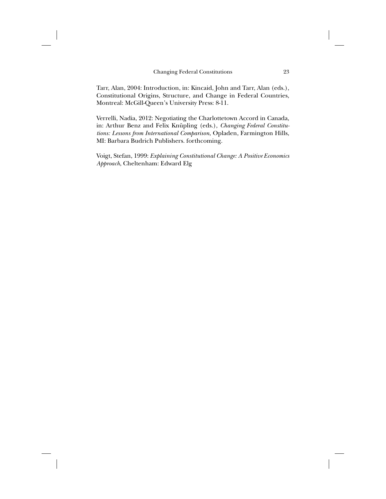# Changing Federal Constitutions 23

Tarr, Alan, 2004: Introduction, in: Kincaid, John and Tarr, Alan (eds.), Constitutional Origins, Structure, and Change in Federal Countries, Montreal: McGill-Queen's University Press: 8-11.

Verrelli, Nadia, 2012: Negotiating the Charlottetown Accord in Canada, in: Arthur Benz and Felix Knüpling (eds.), *Changing Federal Constitutions: Lessons from International Comparison*, Opladen, Farmington Hills, MI: Barbara Budrich Publishers. forthcoming.

Voigt, Stefan, 1999: *Explaining Constitutional Change: A Positive Economics Approach*, Cheltenham: Edward Elg